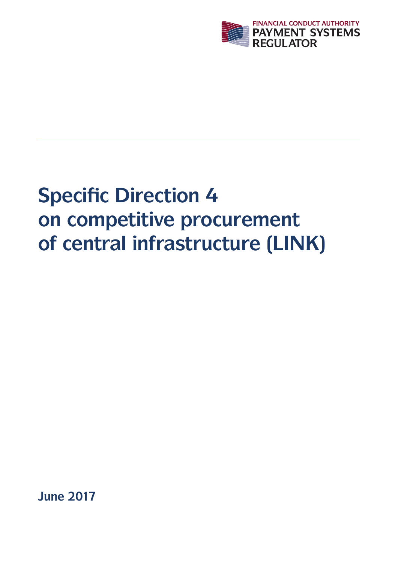

# **Specific Direction 4 on competitive procurement of central infrastructure (LINK)**

**June 2017**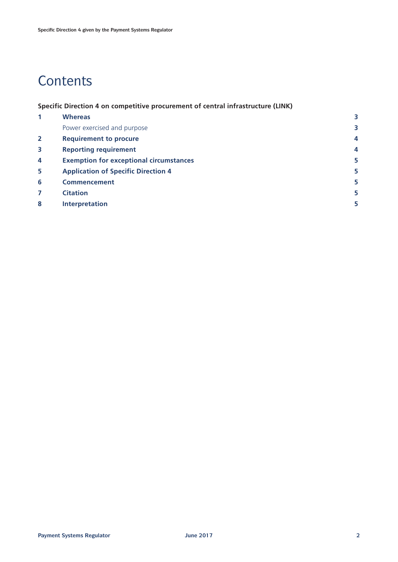# **Contents**

**Specific Direction 4 on competitive procurement of central infrastructure (LINK)**

| <b>Whereas</b>                                 |   |
|------------------------------------------------|---|
| Power exercised and purpose                    | 3 |
| <b>Requirement to procure</b>                  | 4 |
| <b>Reporting requirement</b>                   | 4 |
| <b>Exemption for exceptional circumstances</b> | 5 |
| <b>Application of Specific Direction 4</b>     | 5 |
| <b>Commencement</b>                            | 5 |
| <b>Citation</b>                                | 5 |
| <b>Interpretation</b>                          | 5 |
|                                                |   |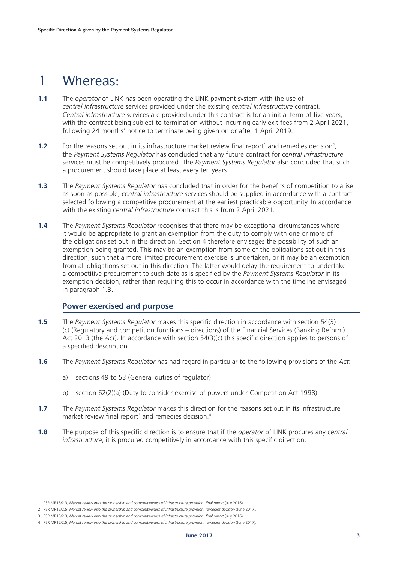# 1 Whereas:

- **1.1** The *operator* of LINK has been operating the LINK payment system with the use of *central infrastructure* services provided under the existing *central infrastructure* contract. *Central infrastructure* services are provided under this contract is for an initial term of five years, with the contract being subject to termination without incurring early exit fees from 2 April 2021, following 24 months' notice to terminate being given on or after 1 April 2019.
- **1.2** For the reasons set out in its infrastructure market review final report<sup>1</sup> and remedies decision<sup>2</sup>, the *Payment Systems Regulator* has concluded that any future contract for *central infrastructure* services must be competitively procured. The *Payment Systems Regulator* also concluded that such a procurement should take place at least every ten years.
- **1.3** The *Payment Systems Regulator* has concluded that in order for the benefits of competition to arise as soon as possible, *central infrastructure* services should be supplied in accordance with a contract selected following a competitive procurement at the earliest practicable opportunity. In accordance with the existing *central infrastructure* contract this is from 2 April 2021.
- **1.4** The *Payment Systems Regulator* recognises that there may be exceptional circumstances where it would be appropriate to grant an exemption from the duty to comply with one or more of the obligations set out in this direction. Section 4 therefore envisages the possibility of such an exemption being granted. This may be an exemption from some of the obligations set out in this direction, such that a more limited procurement exercise is undertaken, or it may be an exemption from all obligations set out in this direction. The latter would delay the requirement to undertake a competitive procurement to such date as is specified by the *Payment Systems Regulator* in its exemption decision, rather than requiring this to occur in accordance with the timeline envisaged in paragraph 1.3.

#### **Power exercised and purpose**

- **1.5** The *Payment Systems Regulator* makes this specific direction in accordance with section 54(3) (c) (Regulatory and competition functions – directions) of the Financial Services (Banking Reform) Act 2013 (the *Act*). In accordance with section 54(3)(c) this specific direction applies to persons of a specified description.
- **1.6** The *Payment Systems Regulator* has had regard in particular to the following provisions of the *Act*:
	- a) sections 49 to 53 (General duties of regulator)
	- b) section 62(2)(a) (Duty to consider exercise of powers under Competition Act 1998)
- **1.7** The *Payment Systems Regulator* makes this direction for the reasons set out in its infrastructure market review final report<sup>3</sup> and remedies decision.<sup>4</sup>
- **1.8** The purpose of this specific direction is to ensure that if the *operator* of LINK procures any *central infrastructure*, it is procured competitively in accordance with this specific direction.

<sup>1</sup> PSR MR15/2.3, *Market review into the ownership and competitiveness of infrastructure provision: final report* (July 2016).

<sup>2</sup> PSR MR15/2.5, *Market review into the ownership and competitiveness of infrastructure provision: remedies decision* (June 2017).

<sup>3</sup> PSR MR15/2.3, *Market review into the ownership and competitiveness of infrastructure provision: final report* (July 2016).

<sup>4</sup> PSR MR15/2.5, *Market review into the ownership and competitiveness of infrastructure provision: remedies decision* (June 2017).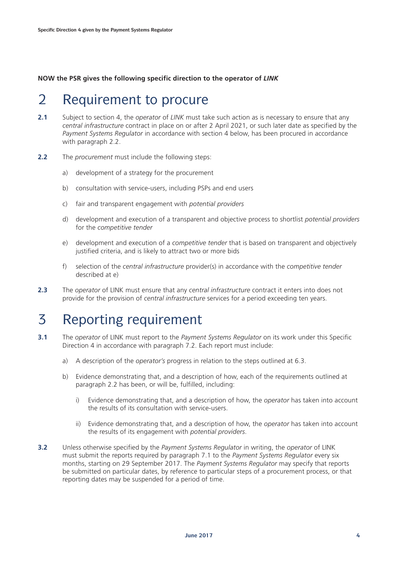**NOW the PSR gives the following specific direction to the operator of** *LINK*

#### 2 Requirement to procure

- **2.1** Subject to section 4, the *operator* of *LINK* must take such action as is necessary to ensure that any *central infrastructure* contract in place on or after 2 April 2021, or such later date as specified by the *Payment Systems Regulator* in accordance with section 4 below, has been procured in accordance with paragraph 2.2.
- **2.2** The *procurement* must include the following steps:
	- a) development of a strategy for the procurement
	- b) consultation with service-users, including PSPs and end users
	- c) fair and transparent engagement with *potential providers*
	- d) development and execution of a transparent and objective process to shortlist *potential providers* for the *competitive tender*
	- e) development and execution of a *competitive tender* that is based on transparent and objectively justified criteria, and is likely to attract two or more bids
	- f) selection of the *central infrastructure* provider(s) in accordance with the *competitive tender* described at e)
- **2.3** The *operator* of LINK must ensure that any *central infrastructure* contract it enters into does not provide for the provision of *central infrastructure* services for a period exceeding ten years.

# 3 Reporting requirement

- **3.1** The *operator* of LINK must report to the *Payment Systems Regulator* on its work under this Specific Direction 4 in accordance with paragraph 7.2. Each report must include:
	- a) A description of the *operator's* progress in relation to the steps outlined at 6.3.
	- b) Evidence demonstrating that, and a description of how, each of the requirements outlined at paragraph 2.2 has been, or will be, fulfilled, including:
		- i) Evidence demonstrating that, and a description of how, the *operator* has taken into account the results of its consultation with service-users.
		- ii) Evidence demonstrating that, and a description of how, the *operator* has taken into account the results of its engagement with *potential providers*.
- **3.2** Unless otherwise specified by the *Payment Systems Regulator* in writing, the *operator* of LINK must submit the reports required by paragraph 7.1 to the *Payment Systems Regulator* every six months, starting on 29 September 2017. The *Payment Systems Regulator* may specify that reports be submitted on particular dates, by reference to particular steps of a procurement process, or that reporting dates may be suspended for a period of time.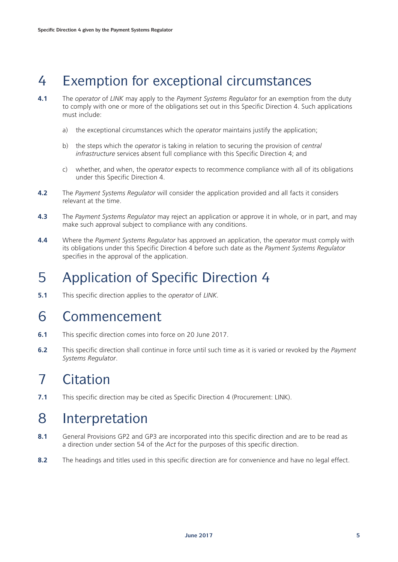# 4 Exemption for exceptional circumstances

- **4.1** The *operator* of *LINK* may apply to the *Payment Systems Regulator* for an exemption from the duty to comply with one or more of the obligations set out in this Specific Direction 4. Such applications must include:
	- a) the exceptional circumstances which the *operator* maintains justify the application;
	- b) the steps which the *operator* is taking in relation to securing the provision of *central infrastructure* services absent full compliance with this Specific Direction 4; and
	- c) whether, and when, the *operator* expects to recommence compliance with all of its obligations under this Specific Direction 4.
- **4.2** The *Payment Systems Regulator* will consider the application provided and all facts it considers relevant at the time.
- **4.3** The *Payment Systems Regulator* may reject an application or approve it in whole, or in part, and may make such approval subject to compliance with any conditions.
- **4.4** Where the *Payment Systems Regulator* has approved an application, the *operator* must comply with its obligations under this Specific Direction 4 before such date as the *Payment Systems Regulator* specifies in the approval of the application.

# 5 Application of Specific Direction 4

**5.1** This specific direction applies to the *operator* of *LINK.*

#### 6 Commencement

- **6.1** This specific direction comes into force on 20 June 2017.
- **6.2** This specific direction shall continue in force until such time as it is varied or revoked by the *Payment Systems Regulator*.

# 7 Citation

**7.1** This specific direction may be cited as Specific Direction 4 (Procurement: LINK).

### 8 Interpretation

- **8.1** General Provisions GP2 and GP3 are incorporated into this specific direction and are to be read as a direction under section 54 of the *Act* for the purposes of this specific direction.
- 8.2 The headings and titles used in this specific direction are for convenience and have no legal effect.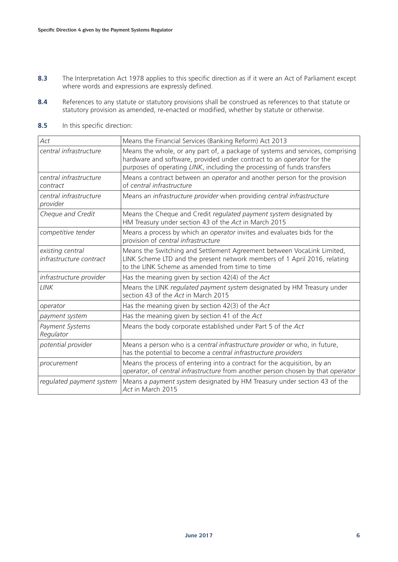- **8.3** The Interpretation Act 1978 applies to this specific direction as if it were an Act of Parliament except where words and expressions are expressly defined.
- 8.4 References to any statute or statutory provisions shall be construed as references to that statute or statutory provision as amended, re-enacted or modified, whether by statute or otherwise.
- **8.5** In this specific direction:

| Act                                         | Means the Financial Services (Banking Reform) Act 2013                                                                                                                                                                             |
|---------------------------------------------|------------------------------------------------------------------------------------------------------------------------------------------------------------------------------------------------------------------------------------|
| central infrastructure                      | Means the whole, or any part of, a package of systems and services, comprising<br>hardware and software, provided under contract to an operator for the<br>purposes of operating LINK, including the processing of funds transfers |
| central infrastructure<br>contract          | Means a contract between an operator and another person for the provision<br>of central infrastructure                                                                                                                             |
| central infrastructure<br>provider          | Means an infrastructure provider when providing central infrastructure                                                                                                                                                             |
| Cheque and Credit                           | Means the Cheque and Credit regulated payment system designated by<br>HM Treasury under section 43 of the Act in March 2015                                                                                                        |
| competitive tender                          | Means a process by which an operator invites and evaluates bids for the<br>provision of central infrastructure                                                                                                                     |
| existing central<br>infrastructure contract | Means the Switching and Settlement Agreement between VocaLink Limited,<br>LINK Scheme LTD and the present network members of 1 April 2016, relating<br>to the LINK Scheme as amended from time to time                             |
| infrastructure provider                     | Has the meaning given by section $42(4)$ of the Act                                                                                                                                                                                |
| <b>LINK</b>                                 | Means the LINK regulated payment system designated by HM Treasury under<br>section 43 of the Act in March 2015                                                                                                                     |
| operator                                    | Has the meaning given by section $42(3)$ of the Act                                                                                                                                                                                |
| payment system                              | Has the meaning given by section 41 of the Act                                                                                                                                                                                     |
| Payment Systems<br>Regulator                | Means the body corporate established under Part 5 of the Act                                                                                                                                                                       |
| potential provider                          | Means a person who is a central infrastructure provider or who, in future,<br>has the potential to become a central infrastructure providers                                                                                       |
| procurement                                 | Means the process of entering into a contract for the acquisition, by an<br>operator, of central infrastructure from another person chosen by that operator                                                                        |
| regulated payment system                    | Means a payment system designated by HM Treasury under section 43 of the<br>Act in March 2015                                                                                                                                      |